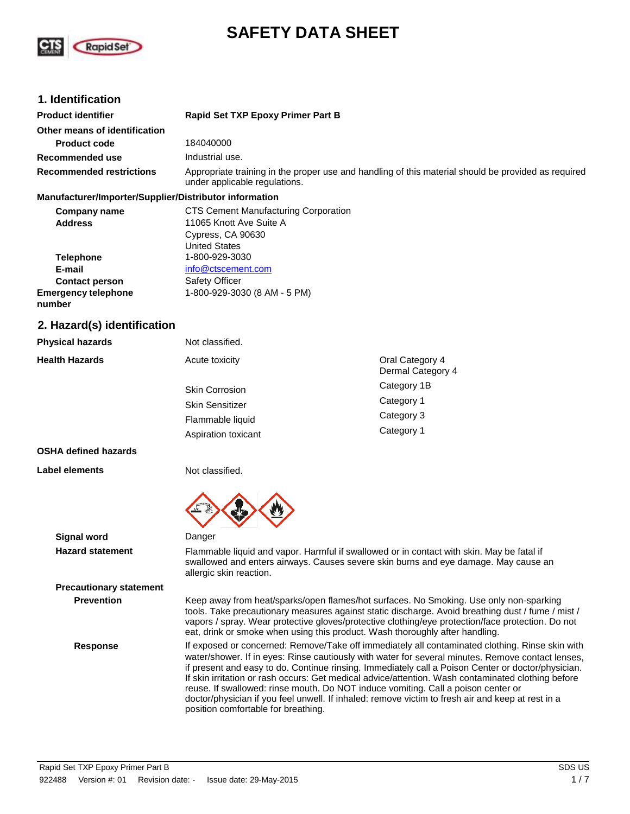

# **SAFETY DATA SHEET**

## **1. Identification**

| <b>Product identifier</b>       | <b>Rapid Set TXP Epoxy Primer Part B</b>                                                                                             |  |  |
|---------------------------------|--------------------------------------------------------------------------------------------------------------------------------------|--|--|
| Other means of identification   |                                                                                                                                      |  |  |
| <b>Product code</b>             | 184040000                                                                                                                            |  |  |
| Recommended use                 | Industrial use.                                                                                                                      |  |  |
| <b>Recommended restrictions</b> | Appropriate training in the proper use and handling of this material should be provided as required<br>under applicable regulations. |  |  |

#### **Manufacturer/Importer/Supplier/Distributor information**

| Company name                         | <b>CTS Cement Manufacturing Corporation</b> |
|--------------------------------------|---------------------------------------------|
| <b>Address</b>                       | 11065 Knott Ave Suite A                     |
|                                      | Cypress, CA 90630                           |
|                                      | <b>United States</b>                        |
| <b>Telephone</b>                     | 1-800-929-3030                              |
| E-mail                               | info@ctscement.com                          |
| <b>Contact person</b>                | <b>Safety Officer</b>                       |
| <b>Emergency telephone</b><br>number | 1-800-929-3030 (8 AM - 5 PM)                |
|                                      |                                             |

### **2. Hazard(s) identification**

| <b>Physical hazards</b> | Not classified.                            |                                      |
|-------------------------|--------------------------------------------|--------------------------------------|
| <b>Health Hazards</b>   | Acute toxicity                             | Oral Category 4<br>Dermal Category 4 |
|                         | <b>Skin Corrosion</b>                      | Category 1B                          |
|                         | <b>Skin Sensitizer</b><br>Flammable liquid | Category 1                           |
|                         |                                            | Category 3                           |
|                         | Aspiration toxicant                        | Category 1                           |
|                         |                                            |                                      |

#### **OSHA defined hazards**

**Label elements**

Not classified.



**Signal word** Danger

**Hazard statement** Flammable liquid and vapor. Harmful if swallowed or in contact with skin. May be fatal if swallowed and enters airways. Causes severe skin burns and eye damage. May cause an allergic skin reaction.

# **Precautionary statement**

**Prevention** Keep away from heat/sparks/open flames/hot surfaces. No Smoking. Use only non-sparking tools. Take precautionary measures against static discharge. Avoid breathing dust / fume / mist / vapors / spray. Wear protective gloves/protective clothing/eye protection/face protection. Do not eat, drink or smoke when using this product. Wash thoroughly after handling.

**Response** If exposed or concerned: Remove/Take off immediately all contaminated clothing. Rinse skin with water/shower. If in eyes: Rinse cautiously with water for several minutes. Remove contact lenses, if present and easy to do. Continue rinsing. Immediately call a Poison Center or doctor/physician. If skin irritation or rash occurs: Get medical advice/attention. Wash contaminated clothing before reuse. If swallowed: rinse mouth. Do NOT induce vomiting. Call a poison center or doctor/physician if you feel unwell. If inhaled: remove victim to fresh air and keep at rest in a position comfortable for breathing.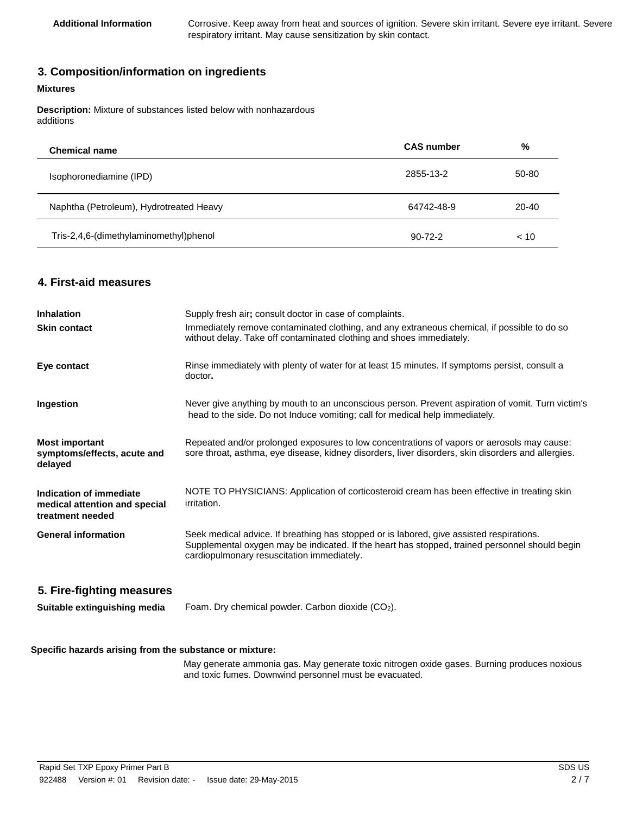Additional Information **Corrosive. Keep away from heat and sources of ignition. Severe skin irritant. Severe eye irritant. Severe** respiratory irritant. May cause sensitization by skin contact.

# **3. Composition/information on ingredients**

#### **Mixtures**

 $\overline{a}$ 

**Description:** Mixture of substances listed below with nonhazardous additions

| <b>Chemical name</b>                    | <b>CAS</b> number | %         |
|-----------------------------------------|-------------------|-----------|
| Isophoronediamine (IPD)                 | 2855-13-2         | 50-80     |
| Naphtha (Petroleum), Hydrotreated Heavy | 64742-48-9        | $20 - 40$ |
| Tris-2,4,6-(dimethylaminomethyl)phenol  | $90 - 72 - 2$     | < 10      |

## **4. First-aid measures**

| <b>Inhalation</b>                                                            | Supply fresh air; consult doctor in case of complaints.                                                                                                                                                                                  |
|------------------------------------------------------------------------------|------------------------------------------------------------------------------------------------------------------------------------------------------------------------------------------------------------------------------------------|
| <b>Skin contact</b>                                                          | Immediately remove contaminated clothing, and any extraneous chemical, if possible to do so<br>without delay. Take off contaminated clothing and shoes immediately.                                                                      |
| Eye contact                                                                  | Rinse immediately with plenty of water for at least 15 minutes. If symptoms persist, consult a<br>doctor.                                                                                                                                |
| Ingestion                                                                    | Never give anything by mouth to an unconscious person. Prevent aspiration of vomit. Turn victim's<br>head to the side. Do not Induce vomiting; call for medical help immediately.                                                        |
| <b>Most important</b><br>symptoms/effects, acute and<br>delayed              | Repeated and/or prolonged exposures to low concentrations of vapors or aerosols may cause:<br>sore throat, asthma, eye disease, kidney disorders, liver disorders, skin disorders and allergies.                                         |
| Indication of immediate<br>medical attention and special<br>treatment needed | NOTE TO PHYSICIANS: Application of corticosteroid cream has been effective in treating skin<br>irritation.                                                                                                                               |
| <b>General information</b>                                                   | Seek medical advice. If breathing has stopped or is labored, give assisted respirations.<br>Supplemental oxygen may be indicated. If the heart has stopped, trained personnel should begin<br>cardiopulmonary resuscitation immediately. |
| 5. Fire-fighting measures                                                    |                                                                                                                                                                                                                                          |
| Suitable extinguishing media                                                 | Foam. Dry chemical powder. Carbon dioxide (CO2).                                                                                                                                                                                         |

#### **Specific hazards arising from the substance or mixture:**

May generate ammonia gas. May generate toxic nitrogen oxide gases. Burning produces noxious and toxic fumes. Downwind personnel must be evacuated.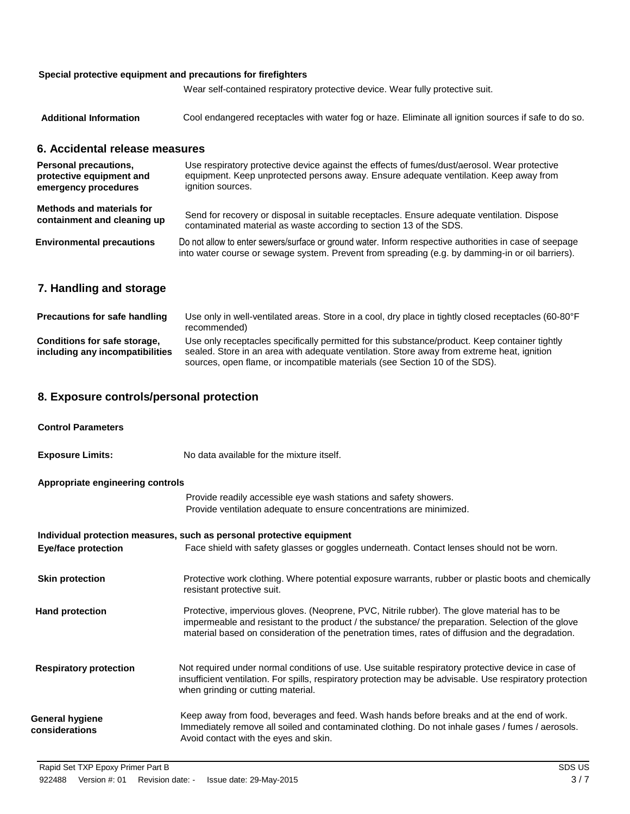### **Special protective equipment and precautions for firefighters**

Wear self-contained respiratory protective device. Wear fully protective suit.

| <b>Additional Information</b> | Cool endangered receptacles with water fog or haze. Eliminate all ignition sources if safe to do so. |  |  |  |
|-------------------------------|------------------------------------------------------------------------------------------------------|--|--|--|
|-------------------------------|------------------------------------------------------------------------------------------------------|--|--|--|

## **6. Accidental release measures**

| <b>Personal precautions,</b>     | Use respiratory protective device against the effects of fumes/dust/aerosol. Wear protective                                                                                                               |
|----------------------------------|------------------------------------------------------------------------------------------------------------------------------------------------------------------------------------------------------------|
| protective equipment and         | equipment. Keep unprotected persons away. Ensure adequate ventilation. Keep away from                                                                                                                      |
| emergency procedures             | ignition sources.                                                                                                                                                                                          |
| <b>Methods and materials for</b> | Send for recovery or disposal in suitable receptacles. Ensure adequate ventilation. Dispose                                                                                                                |
| containment and cleaning up      | contaminated material as waste according to section 13 of the SDS.                                                                                                                                         |
| <b>Environmental precautions</b> | Do not allow to enter sewers/surface or ground water. Inform respective authorities in case of seepage<br>into water course or sewage system. Prevent from spreading (e.g. by damming-in or oil barriers). |

# **7. Handling and storage**

| <b>Precautions for safe handling</b>                            | Use only in well-ventilated areas. Store in a cool, dry place in tightly closed receptacles (60-80°F<br>recommended)                                                                                                                                                        |
|-----------------------------------------------------------------|-----------------------------------------------------------------------------------------------------------------------------------------------------------------------------------------------------------------------------------------------------------------------------|
| Conditions for safe storage,<br>including any incompatibilities | Use only receptacles specifically permitted for this substance/product. Keep container tightly<br>sealed. Store in an area with adequate ventilation. Store away from extreme heat, ignition<br>sources, open flame, or incompatible materials (see Section 10 of the SDS). |

# **8. Exposure controls/personal protection**

| <b>Control Parameters</b>         |                                                                                                                                                                                                                                                                                                        |
|-----------------------------------|--------------------------------------------------------------------------------------------------------------------------------------------------------------------------------------------------------------------------------------------------------------------------------------------------------|
| <b>Exposure Limits:</b>           | No data available for the mixture itself.                                                                                                                                                                                                                                                              |
| Appropriate engineering controls  |                                                                                                                                                                                                                                                                                                        |
|                                   | Provide readily accessible eye wash stations and safety showers.<br>Provide ventilation adequate to ensure concentrations are minimized.                                                                                                                                                               |
|                                   | Individual protection measures, such as personal protective equipment                                                                                                                                                                                                                                  |
| <b>Eye/face protection</b>        | Face shield with safety glasses or goggles underneath. Contact lenses should not be worn.                                                                                                                                                                                                              |
|                                   |                                                                                                                                                                                                                                                                                                        |
| <b>Skin protection</b>            | Protective work clothing. Where potential exposure warrants, rubber or plastic boots and chemically<br>resistant protective suit.                                                                                                                                                                      |
| <b>Hand protection</b>            | Protective, impervious gloves. (Neoprene, PVC, Nitrile rubber). The glove material has to be<br>impermeable and resistant to the product / the substance/ the preparation. Selection of the glove<br>material based on consideration of the penetration times, rates of diffusion and the degradation. |
| <b>Respiratory protection</b>     | Not required under normal conditions of use. Use suitable respiratory protective device in case of<br>insufficient ventilation. For spills, respiratory protection may be advisable. Use respiratory protection<br>when grinding or cutting material.                                                  |
| General hygiene<br>considerations | Keep away from food, beverages and feed. Wash hands before breaks and at the end of work.<br>Immediately remove all soiled and contaminated clothing. Do not inhale gases / fumes / aerosols.<br>Avoid contact with the eyes and skin.                                                                 |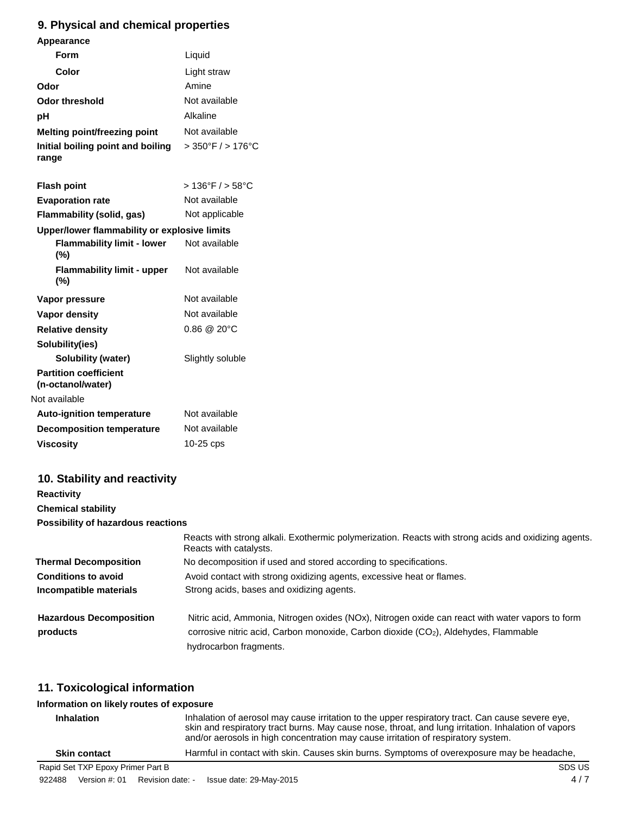# **9. Physical and chemical properties**

| Appearance                                        |                                     |
|---------------------------------------------------|-------------------------------------|
| Form                                              | Liquid                              |
| Color                                             | Light straw                         |
| Odor                                              | Amine                               |
| <b>Odor threshold</b>                             | Not available                       |
| рH                                                | Alkaline                            |
| <b>Melting point/freezing point</b>               | Not available                       |
| Initial boiling point and boiling<br>range        | $>350^{\circ}$ F / $>176^{\circ}$ C |
| <b>Flash point</b>                                | $>136^{\circ}$ F / $>58^{\circ}$ C  |
| <b>Evaporation rate</b>                           | Not available                       |
| <b>Flammability (solid, gas)</b>                  | Not applicable                      |
| Upper/lower flammability or explosive limits      |                                     |
| <b>Flammability limit - lower</b><br>$(\% )$      | Not available                       |
| <b>Flammability limit - upper</b><br>$(\%)$       | Not available                       |
| Vapor pressure                                    | Not available                       |
| <b>Vapor density</b>                              | Not available                       |
| <b>Relative density</b>                           | $0.86 \ @ \ 20^{\circ}C$            |
| Solubility(ies)                                   |                                     |
| <b>Solubility (water)</b>                         | Slightly soluble                    |
| <b>Partition coefficient</b><br>(n-octanol/water) |                                     |
| Not available                                     |                                     |
| <b>Auto-ignition temperature</b>                  | Not available                       |
| <b>Decomposition temperature</b>                  | Not available                       |
| <b>Viscosity</b>                                  | 10-25 cps                           |
|                                                   |                                     |

# **10. Stability and reactivity**

| <b>Reactivity</b>                  |                                                                                                                                |  |  |  |  |
|------------------------------------|--------------------------------------------------------------------------------------------------------------------------------|--|--|--|--|
| <b>Chemical stability</b>          |                                                                                                                                |  |  |  |  |
| Possibility of hazardous reactions |                                                                                                                                |  |  |  |  |
|                                    | Reacts with strong alkali. Exothermic polymerization. Reacts with strong acids and oxidizing agents.<br>Reacts with catalysts. |  |  |  |  |
| <b>Thermal Decomposition</b>       | No decomposition if used and stored according to specifications.                                                               |  |  |  |  |
| <b>Conditions to avoid</b>         | Avoid contact with strong oxidizing agents, excessive heat or flames.                                                          |  |  |  |  |
| Incompatible materials             | Strong acids, bases and oxidizing agents.                                                                                      |  |  |  |  |
| <b>Hazardous Decomposition</b>     | Nitric acid, Ammonia, Nitrogen oxides (NOx), Nitrogen oxide can react with water vapors to form                                |  |  |  |  |
| products                           | corrosive nitric acid, Carbon monoxide, Carbon dioxide (CO <sub>2</sub> ), Aldehydes, Flammable                                |  |  |  |  |
|                                    | hydrocarbon fragments.                                                                                                         |  |  |  |  |

# **11. Toxicological information**

# **Information on likely routes of exposure**

| Inhalation of aerosol may cause irritation to the upper respiratory tract. Can cause severe eye,<br><b>Inhalation</b><br>skin and respiratory tract burns. May cause nose, throat, and lung irritation. Inhalation of vapors<br>and/or aerosols in high concentration may cause irritation of respiratory system. |               |                  |                         |                                                                                            |
|-------------------------------------------------------------------------------------------------------------------------------------------------------------------------------------------------------------------------------------------------------------------------------------------------------------------|---------------|------------------|-------------------------|--------------------------------------------------------------------------------------------|
| <b>Skin contact</b>                                                                                                                                                                                                                                                                                               |               |                  |                         | Harmful in contact with skin. Causes skin burns. Symptoms of overexposure may be headache, |
| Rapid Set TXP Epoxy Primer Part B                                                                                                                                                                                                                                                                                 |               |                  |                         | SDS US                                                                                     |
| 922488                                                                                                                                                                                                                                                                                                            | Version #: 01 | Revision date: - | Issue date: 29-May-2015 | 4/7                                                                                        |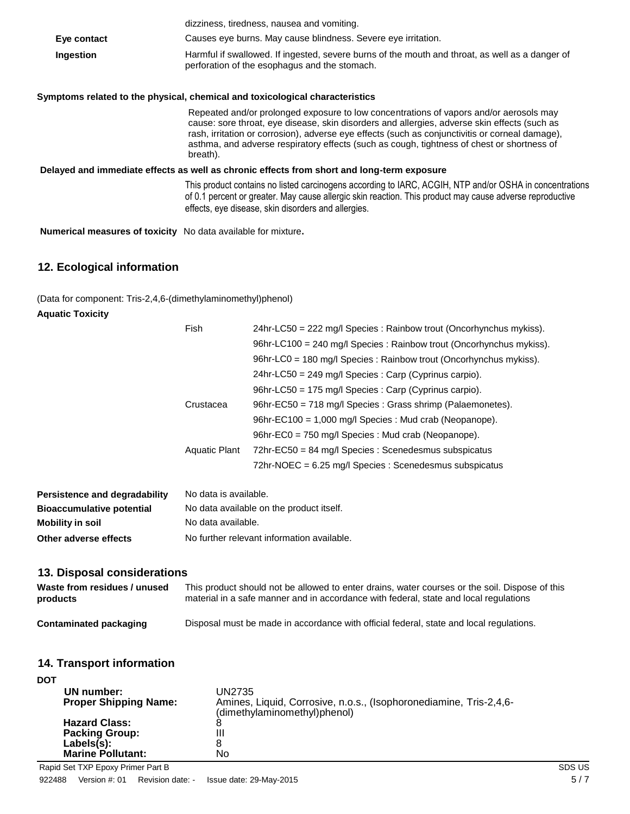|                                                                      | dizziness, tiredness, nausea and vomiting.                                                                                                                                                                                                                                                                                                                                                          |
|----------------------------------------------------------------------|-----------------------------------------------------------------------------------------------------------------------------------------------------------------------------------------------------------------------------------------------------------------------------------------------------------------------------------------------------------------------------------------------------|
| Eye contact                                                          | Causes eye burns. May cause blindness. Severe eye irritation.                                                                                                                                                                                                                                                                                                                                       |
| Ingestion                                                            | Harmful if swallowed. If ingested, severe burns of the mouth and throat, as well as a danger of<br>perforation of the esophagus and the stomach.                                                                                                                                                                                                                                                    |
|                                                                      | Symptoms related to the physical, chemical and toxicological characteristics                                                                                                                                                                                                                                                                                                                        |
|                                                                      | Repeated and/or prolonged exposure to low concentrations of vapors and/or aerosols may<br>cause: sore throat, eye disease, skin disorders and allergies, adverse skin effects (such as<br>rash, irritation or corrosion), adverse eye effects (such as conjunctivitis or corneal damage),<br>asthma, and adverse respiratory effects (such as cough, tightness of chest or shortness of<br>breath). |
|                                                                      | Delayed and immediate effects as well as chronic effects from short and long-term exposure                                                                                                                                                                                                                                                                                                          |
|                                                                      | This product contains no listed carcinogens according to IARC, ACGIH, NTP and/or OSHA in concentrations<br>of 0.1 percent or greater. May cause allergic skin reaction. This product may cause adverse reproductive<br>effects, eye disease, skin disorders and allergies.                                                                                                                          |
| <b>Numerical measures of toxicity</b> No data available for mixture. |                                                                                                                                                                                                                                                                                                                                                                                                     |

# **12. Ecological information**

(Data for component: Tris-2,4,6-(dimethylaminomethyl)phenol)

### **Aquatic Toxicity**

|                                               | Fish                                                                                                                                                                                    | 24hr-LC50 = 222 mg/l Species : Rainbow trout (Oncorhynchus mykiss).  |  |  |  |
|-----------------------------------------------|-----------------------------------------------------------------------------------------------------------------------------------------------------------------------------------------|----------------------------------------------------------------------|--|--|--|
|                                               |                                                                                                                                                                                         | 96hr-LC100 = 240 mg/l Species : Rainbow trout (Oncorhynchus mykiss). |  |  |  |
|                                               |                                                                                                                                                                                         | 96hr-LC0 = 180 mg/l Species : Rainbow trout (Oncorhynchus mykiss).   |  |  |  |
|                                               |                                                                                                                                                                                         | 24hr-LC50 = 249 mg/l Species : Carp (Cyprinus carpio).               |  |  |  |
|                                               |                                                                                                                                                                                         | 96hr-LC50 = 175 mg/l Species : Carp (Cyprinus carpio).               |  |  |  |
|                                               | Crustacea                                                                                                                                                                               | 96hr-EC50 = 718 mg/l Species : Grass shrimp (Palaemonetes).          |  |  |  |
|                                               |                                                                                                                                                                                         | 96hr-EC100 = 1,000 mg/l Species : Mud crab (Neopanope).              |  |  |  |
|                                               |                                                                                                                                                                                         | 96hr-EC0 = 750 mg/l Species : Mud crab (Neopanope).                  |  |  |  |
|                                               | <b>Aquatic Plant</b>                                                                                                                                                                    | 72hr-EC50 = 84 mg/l Species : Scenedesmus subspicatus                |  |  |  |
|                                               |                                                                                                                                                                                         | 72hr-NOEC = 6.25 mg/l Species : Scenedesmus subspicatus              |  |  |  |
| <b>Persistence and degradability</b>          | No data is available.                                                                                                                                                                   |                                                                      |  |  |  |
| <b>Bioaccumulative potential</b>              | No data available on the product itself.                                                                                                                                                |                                                                      |  |  |  |
| <b>Mobility in soil</b>                       | No data available.                                                                                                                                                                      |                                                                      |  |  |  |
| Other adverse effects                         | No further relevant information available.                                                                                                                                              |                                                                      |  |  |  |
| 13. Disposal considerations                   |                                                                                                                                                                                         |                                                                      |  |  |  |
| Waste from residues / unused<br>products      | This product should not be allowed to enter drains, water courses or the soil. Dispose of this<br>material in a safe manner and in accordance with federal, state and local regulations |                                                                      |  |  |  |
| <b>Contaminated packaging</b>                 | Disposal must be made in accordance with official federal, state and local regulations.                                                                                                 |                                                                      |  |  |  |
| <b>14. Transport information</b>              |                                                                                                                                                                                         |                                                                      |  |  |  |
| <b>DOT</b>                                    |                                                                                                                                                                                         |                                                                      |  |  |  |
| UN number:<br><b>Proper Shipping Name:</b>    | <b>UN2735</b>                                                                                                                                                                           | Amines, Liquid, Corrosive, n.o.s., (Isophoronediamine, Tris-2,4,6-   |  |  |  |
| <b>Hazard Class:</b><br><b>Packing Group:</b> | 8<br>$\mathbf{III}$                                                                                                                                                                     | (dimethylaminomethyl)phenol)                                         |  |  |  |

**Hazard Class:** 8 **Packing Group:** III **Labels(s):** 8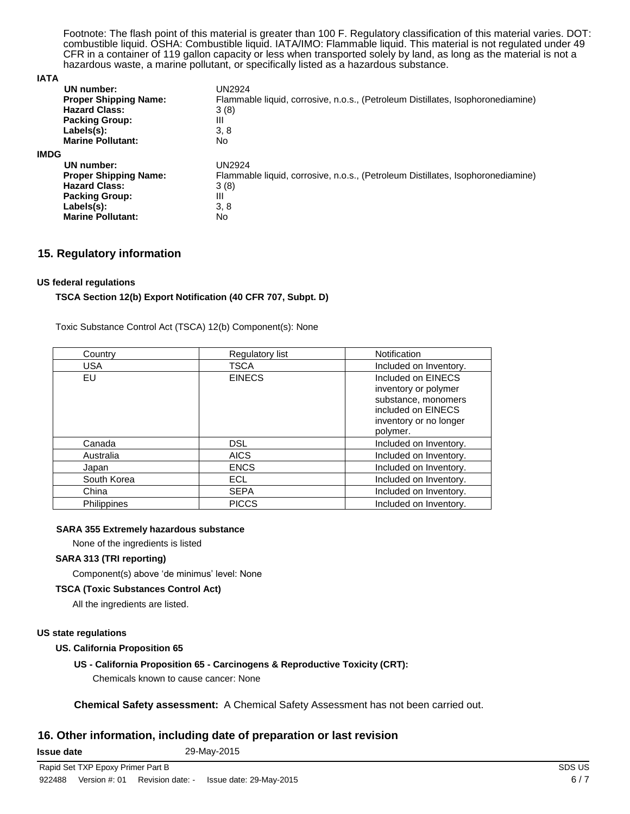Footnote: The flash point of this material is greater than 100 F. Regulatory classification of this material varies. DOT: combustible liquid. OSHA: Combustible liquid. IATA/IMO: Flammable liquid. This material is not regulated under 49 CFR in a container of 119 gallon capacity or less when transported solely by land, as long as the material is not a hazardous waste, a marine pollutant, or specifically listed as a hazardous substance.

#### **IATA**

| UN number:<br><b>Proper Shipping Name:</b><br><b>Hazard Class:</b><br><b>Packing Group:</b><br>Labels(s):<br><b>Marine Pollutant:</b> | UN2924<br>Flammable liquid, corrosive, n.o.s., (Petroleum Distillates, Isophoronediamine)<br>3(8)<br>Ш<br>3, 8<br>No |
|---------------------------------------------------------------------------------------------------------------------------------------|----------------------------------------------------------------------------------------------------------------------|
| <b>IMDG</b>                                                                                                                           |                                                                                                                      |
| UN number:                                                                                                                            | UN2924                                                                                                               |
| <b>Proper Shipping Name:</b>                                                                                                          | Flammable liquid, corrosive, n.o.s., (Petroleum Distillates, Isophoronediamine)                                      |
| <b>Hazard Class:</b>                                                                                                                  | 3(8)                                                                                                                 |
| <b>Packing Group:</b>                                                                                                                 | Ш                                                                                                                    |
| Labels(s):                                                                                                                            | 3, 8                                                                                                                 |
| <b>Marine Pollutant:</b>                                                                                                              | No                                                                                                                   |

### **15. Regulatory information**

### **US federal regulations**

### **TSCA Section 12(b) Export Notification (40 CFR 707, Subpt. D)**

Toxic Substance Control Act (TSCA) 12(b) Component(s): None

| Country            | Regulatory list | Notification                                                                                                                  |
|--------------------|-----------------|-------------------------------------------------------------------------------------------------------------------------------|
| USA                | <b>TSCA</b>     | Included on Inventory.                                                                                                        |
| EU                 | <b>EINECS</b>   | Included on EINECS<br>inventory or polymer<br>substance, monomers<br>included on EINECS<br>inventory or no longer<br>polymer. |
| Canada             | <b>DSL</b>      | Included on Inventory.                                                                                                        |
| Australia          | <b>AICS</b>     | Included on Inventory.                                                                                                        |
| Japan              | <b>ENCS</b>     | Included on Inventory.                                                                                                        |
| South Korea        | <b>ECL</b>      | Included on Inventory.                                                                                                        |
| China              | <b>SEPA</b>     | Included on Inventory.                                                                                                        |
| <b>Philippines</b> | <b>PICCS</b>    | Included on Inventory.                                                                                                        |

#### **SARA 355 Extremely hazardous substance**

None of the ingredients is listed

### **SARA 313 (TRI reporting)**

Component(s) above 'de minimus' level: None

### **TSCA (Toxic Substances Control Act)**

All the ingredients are listed.

#### **US state regulations**

### **US. California Proposition 65**

### **US - California Proposition 65 - Carcinogens & Reproductive Toxicity (CRT):**

Chemicals known to cause cancer: None

**Chemical Safety assessment:** A Chemical Safety Assessment has not been carried out.

### **16. Other information, including date of preparation or last revision**